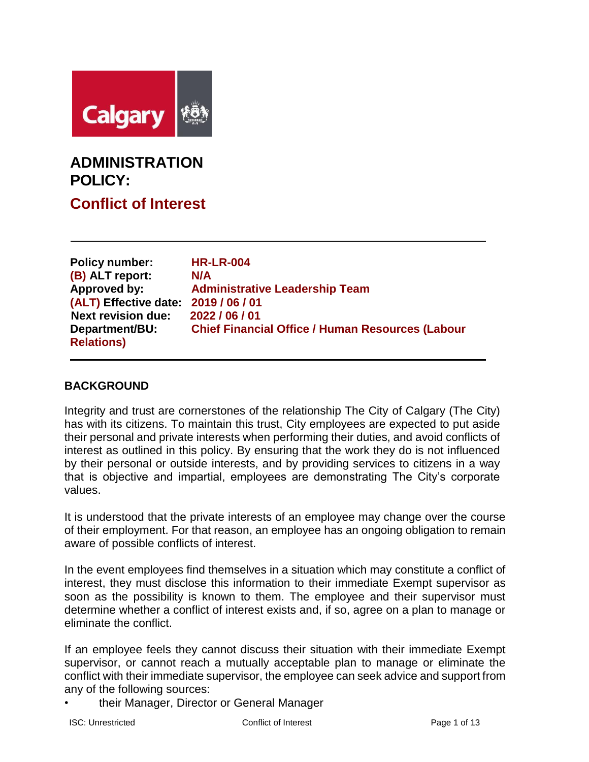

# **ADMINISTRATION POLICY:**

**Conflict of Interest**

| <b>Policy number:</b><br>(B) ALT report: | <b>HR-LR-004</b><br>N/A                                 |
|------------------------------------------|---------------------------------------------------------|
| Approved by:                             | <b>Administrative Leadership Team</b>                   |
| (ALT) Effective date:                    | 2019 / 06 / 01                                          |
| <b>Next revision due:</b>                | 2022 / 06 / 01                                          |
| Department/BU:                           | <b>Chief Financial Office / Human Resources (Labour</b> |
| <b>Relations)</b>                        |                                                         |

# **BACKGROUND**

Integrity and trust are cornerstones of the relationship The City of Calgary (The City) has with its citizens. To maintain this trust, City employees are expected to put aside their personal and private interests when performing their duties, and avoid conflicts of interest as outlined in this policy. By ensuring that the work they do is not influenced by their personal or outside interests, and by providing services to citizens in a way that is objective and impartial, employees are demonstrating The City's corporate values.

It is understood that the private interests of an employee may change over the course of their employment. For that reason, an employee has an ongoing obligation to remain aware of possible conflicts of interest.

In the event employees find themselves in a situation which may constitute a conflict of interest, they must disclose this information to their immediate Exempt supervisor as soon as the possibility is known to them. The employee and their supervisor must determine whether a conflict of interest exists and, if so, agree on a plan to manage or eliminate the conflict.

If an employee feels they cannot discuss their situation with their immediate Exempt supervisor, or cannot reach a mutually acceptable plan to manage or eliminate the conflict with their immediate supervisor, the employee can seek advice and support from any of the following sources:

• their Manager, Director or General Manager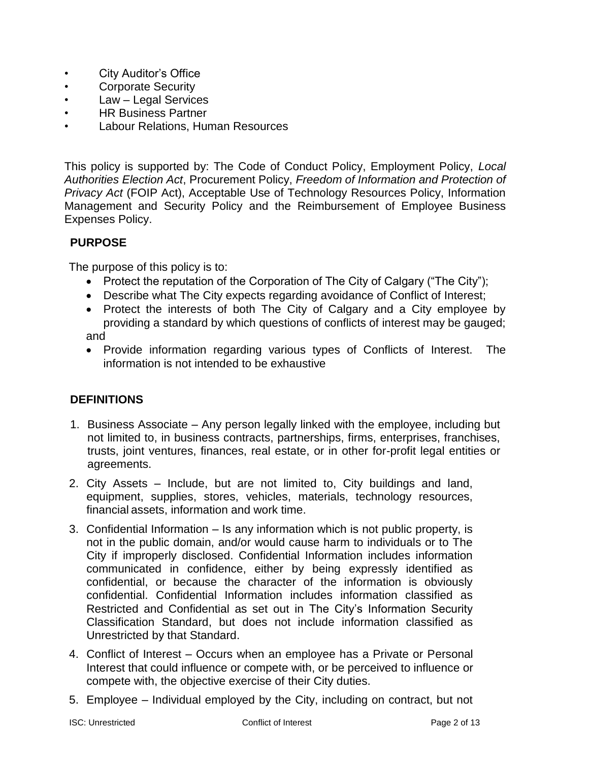- City Auditor's Office
- Corporate Security
- Law Legal Services
- HR Business Partner
- Labour Relations, Human Resources

This policy is supported by: The Code of Conduct Policy, Employment Policy, *Local Authorities Election Act*, Procurement Policy, *Freedom of Information and Protection of Privacy Act* (FOIP Act), Acceptable Use of Technology Resources Policy, Information Management and Security Policy and the Reimbursement of Employee Business Expenses Policy.

## **PURPOSE**

The purpose of this policy is to:

- Protect the reputation of the Corporation of The City of Calgary ("The City");
- Describe what The City expects regarding avoidance of Conflict of Interest;
- Protect the interests of both The City of Calgary and a City employee by providing a standard by which questions of conflicts of interest may be gauged; and
- Provide information regarding various types of Conflicts of Interest. The information is not intended to be exhaustive

## **DEFINITIONS**

- 1. Business Associate Any person legally linked with the employee, including but not limited to, in business contracts, partnerships, firms, enterprises, franchises, trusts, joint ventures, finances, real estate, or in other for-profit legal entities or agreements.
- 2. City Assets Include, but are not limited to, City buildings and land, equipment, supplies, stores, vehicles, materials, technology resources, financial assets, information and work time.
- 3. Confidential Information Is any information which is not public property, is not in the public domain, and/or would cause harm to individuals or to The City if improperly disclosed. Confidential Information includes information communicated in confidence, either by being expressly identified as confidential, or because the character of the information is obviously confidential. Confidential Information includes information classified as Restricted and Confidential as set out in The City's Information Security Classification Standard, but does not include information classified as Unrestricted by that Standard.
- 4. Conflict of Interest Occurs when an employee has a Private or Personal Interest that could influence or compete with, or be perceived to influence or compete with, the objective exercise of their City duties.
- 5. Employee Individual employed by the City, including on contract, but not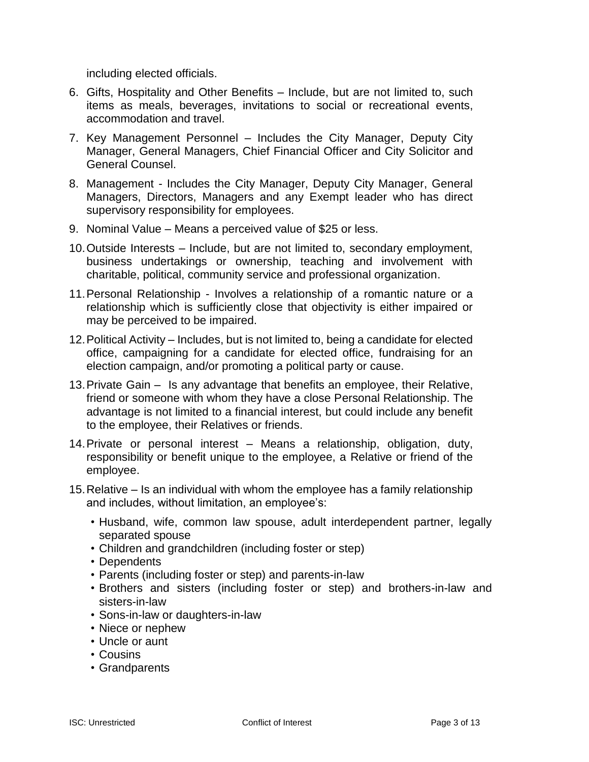including elected officials.

- 6. Gifts, Hospitality and Other Benefits Include, but are not limited to, such items as meals, beverages, invitations to social or recreational events, accommodation and travel.
- 7. Key Management Personnel Includes the City Manager, Deputy City Manager, General Managers, Chief Financial Officer and City Solicitor and General Counsel.
- 8. Management Includes the City Manager, Deputy City Manager, General Managers, Directors, Managers and any Exempt leader who has direct supervisory responsibility for employees.
- 9. Nominal Value Means a perceived value of \$25 or less.
- 10.Outside Interests Include, but are not limited to, secondary employment, business undertakings or ownership, teaching and involvement with charitable, political, community service and professional organization.
- 11.Personal Relationship Involves a relationship of a romantic nature or a relationship which is sufficiently close that objectivity is either impaired or may be perceived to be impaired.
- 12.Political Activity Includes, but is not limited to, being a candidate for elected office, campaigning for a candidate for elected office, fundraising for an election campaign, and/or promoting a political party or cause.
- 13.Private Gain Is any advantage that benefits an employee, their Relative, friend or someone with whom they have a close Personal Relationship. The advantage is not limited to a financial interest, but could include any benefit to the employee, their Relatives or friends.
- 14.Private or personal interest Means a relationship, obligation, duty, responsibility or benefit unique to the employee, a Relative or friend of the employee.
- 15.Relative Is an individual with whom the employee has a family relationship and includes, without limitation, an employee's:
	- Husband, wife, common law spouse, adult interdependent partner, legally separated spouse
	- Children and grandchildren (including foster or step)
	- Dependents
	- Parents (including foster or step) and parents-in-law
	- Brothers and sisters (including foster or step) and brothers-in-law and sisters-in-law
	- Sons-in-law or daughters-in-law
	- Niece or nephew
	- Uncle or aunt
	- Cousins
	- Grandparents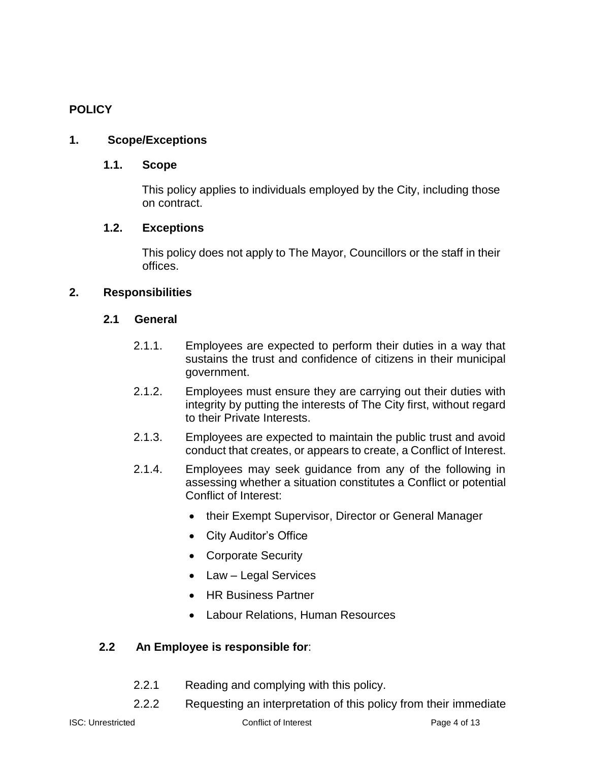# **POLICY**

# **1. Scope/Exceptions**

## **1.1. Scope**

 This policy applies to individuals employed by the City, including those on contract.

## **1.2. Exceptions**

 This policy does not apply to The Mayor, Councillors or the staff in their offices.

## **2. Responsibilities**

#### **2.1 General**

- 2.1.1. Employees are expected to perform their duties in a way that sustains the trust and confidence of citizens in their municipal government.
- 2.1.2. Employees must ensure they are carrying out their duties with integrity by putting the interests of The City first, without regard to their Private Interests.
- 2.1.3. Employees are expected to maintain the public trust and avoid conduct that creates, or appears to create, a Conflict of Interest.
- 2.1.4. Employees may seek guidance from any of the following in assessing whether a situation constitutes a Conflict or potential Conflict of Interest:
	- their Exempt Supervisor, Director or General Manager
	- City Auditor's Office
	- Corporate Security
	- Law Legal Services
	- HR Business Partner
	- Labour Relations, Human Resources

## **2.2 An Employee is responsible for**:

- 2.2.1 Reading and complying with this policy.
- 2.2.2 Requesting an interpretation of this policy from their immediate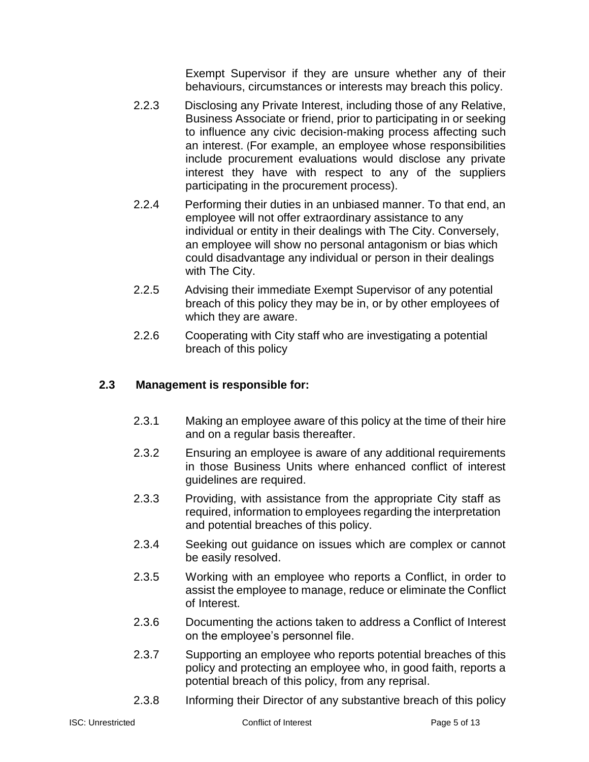Exempt Supervisor if they are unsure whether any of their behaviours, circumstances or interests may breach this policy.

- 2.2.3 Disclosing any Private Interest, including those of any Relative, Business Associate or friend, prior to participating in or seeking to influence any civic decision-making process affecting such an interest. (For example, an employee whose responsibilities include procurement evaluations would disclose any private interest they have with respect to any of the suppliers participating in the procurement process).
- 2.2.4 Performing their duties in an unbiased manner. To that end, an employee will not offer extraordinary assistance to any individual or entity in their dealings with The City. Conversely, an employee will show no personal antagonism or bias which could disadvantage any individual or person in their dealings with The City.
- 2.2.5 Advising their immediate Exempt Supervisor of any potential breach of this policy they may be in, or by other employees of which they are aware.
- 2.2.6 Cooperating with City staff who are investigating a potential breach of this policy

# **2.3 Management is responsible for:**

- 2.3.1 Making an employee aware of this policy at the time of their hire and on a regular basis thereafter.
- 2.3.2 Ensuring an employee is aware of any additional requirements in those Business Units where enhanced conflict of interest guidelines are required.
- 2.3.3 Providing, with assistance from the appropriate City staff as required, information to employees regarding the interpretation and potential breaches of this policy.
- 2.3.4 Seeking out guidance on issues which are complex or cannot be easily resolved.
- 2.3.5 Working with an employee who reports a Conflict, in order to assist the employee to manage, reduce or eliminate the Conflict of Interest.
- 2.3.6 Documenting the actions taken to address a Conflict of Interest on the employee's personnel file.
- 2.3.7 Supporting an employee who reports potential breaches of this policy and protecting an employee who, in good faith, reports a potential breach of this policy, from any reprisal.
- 2.3.8 Informing their Director of any substantive breach of this policy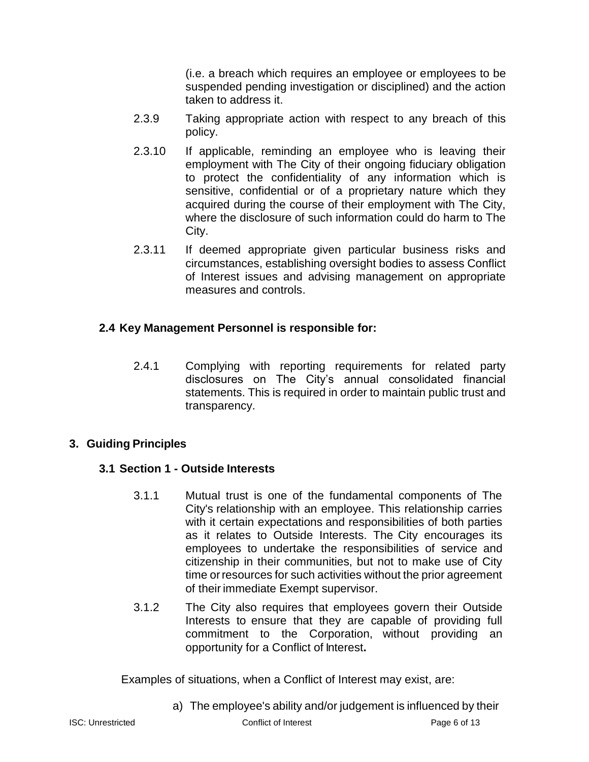(i.e. a breach which requires an employee or employees to be suspended pending investigation or disciplined) and the action taken to address it.

- 2.3.9 Taking appropriate action with respect to any breach of this policy.
- 2.3.10 If applicable, reminding an employee who is leaving their employment with The City of their ongoing fiduciary obligation to protect the confidentiality of any information which is sensitive, confidential or of a proprietary nature which they acquired during the course of their employment with The City, where the disclosure of such information could do harm to The City.
- 2.3.11 If deemed appropriate given particular business risks and circumstances, establishing oversight bodies to assess Conflict of Interest issues and advising management on appropriate measures and controls.

# **2.4 Key Management Personnel is responsible for:**

2.4.1 Complying with reporting requirements for related party disclosures on The City's annual consolidated financial statements. This is required in order to maintain public trust and transparency.

## **3. Guiding Principles**

# **3.1 Section 1 - Outside Interests**

- 3.1.1 Mutual trust is one of the fundamental components of The City's relationship with an employee. This relationship carries with it certain expectations and responsibilities of both parties as it relates to Outside Interests. The City encourages its employees to undertake the responsibilities of service and citizenship in their communities, but not to make use of City time orresources for such activities without the prior agreement of their immediate Exempt supervisor.
- 3.1.2 The City also requires that employees govern their Outside Interests to ensure that they are capable of providing full commitment to the Corporation, without providing an opportunity for a Conflict of Interest**.**

Examples of situations, when a Conflict of Interest may exist, are:

a) The employee's ability and/or judgement is influenced by their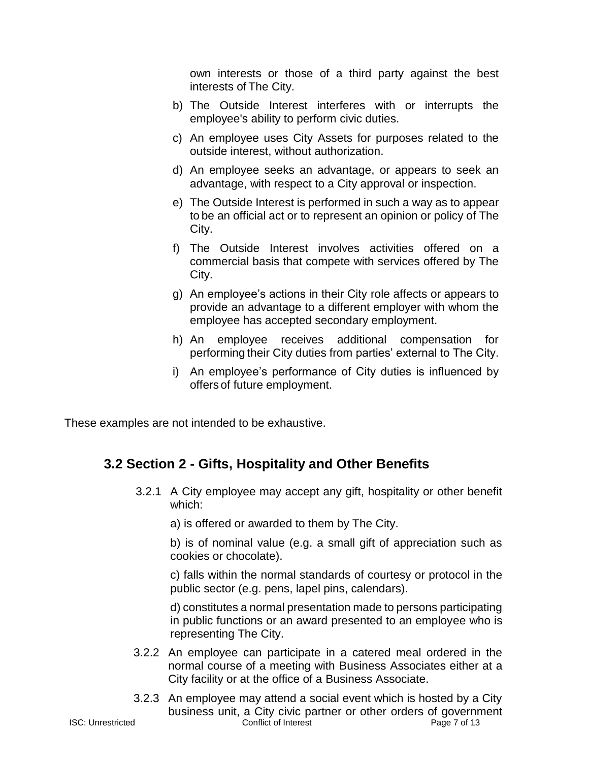own interests or those of a third party against the best interests of The City.

- b) The Outside Interest interferes with or interrupts the employee's ability to perform civic duties.
- c) An employee uses City Assets for purposes related to the outside interest, without authorization.
- d) An employee seeks an advantage, or appears to seek an advantage, with respect to a City approval or inspection.
- e) The Outside Interest is performed in such a way as to appear to be an official act or to represent an opinion or policy of The City.
- f) The Outside Interest involves activities offered on a commercial basis that compete with services offered by The City.
- g) An employee's actions in their City role affects or appears to provide an advantage to a different employer with whom the employee has accepted secondary employment.
- h) An employee receives additional compensation for performing their City duties from parties' external to The City.
- i) An employee's performance of City duties is influenced by offers of future employment.

These examples are not intended to be exhaustive.

# **3.2 Section 2 - Gifts, Hospitality and Other Benefits**

3.2.1 A City employee may accept any gift, hospitality or other benefit which:

a) is offered or awarded to them by The City.

b) is of nominal value (e.g. a small gift of appreciation such as cookies or chocolate).

c) falls within the normal standards of courtesy or protocol in the public sector (e.g. pens, lapel pins, calendars).

d) constitutes a normal presentation made to persons participating in public functions or an award presented to an employee who is representing The City.

- 3.2.2 An employee can participate in a catered meal ordered in the normal course of a meeting with Business Associates either at a City facility or at the office of a Business Associate.
- ISC: Unrestricted Conflict of Interest Page 7 of 13 3.2.3 An employee may attend a social event which is hosted by a City business unit, a City civic partner or other orders of government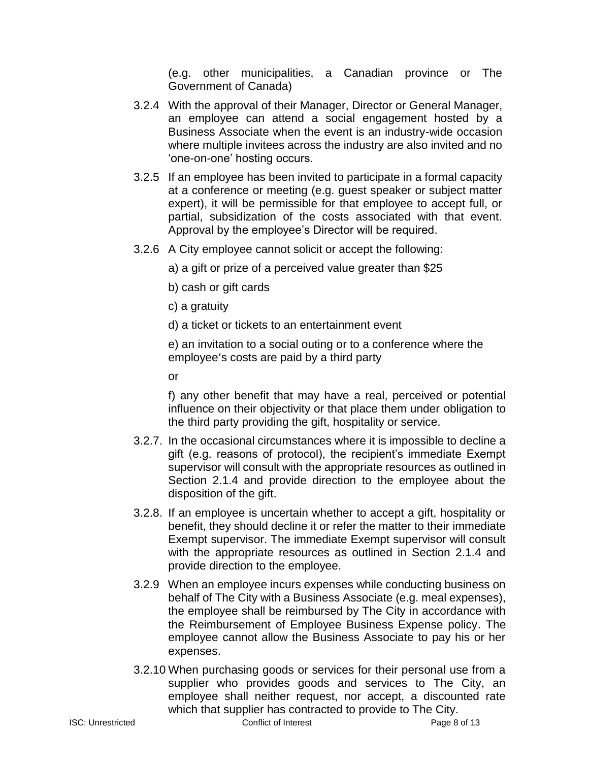(e.g. other municipalities, a Canadian province or The Government of Canada)

- 3.2.4 With the approval of their Manager, Director or General Manager, an employee can attend a social engagement hosted by a Business Associate when the event is an industry-wide occasion where multiple invitees across the industry are also invited and no 'one-on-one' hosting occurs.
- 3.2.5 If an employee has been invited to participate in a formal capacity at a conference or meeting (e.g. guest speaker or subject matter expert), it will be permissible for that employee to accept full, or partial, subsidization of the costs associated with that event. Approval by the employee's Director will be required.
- 3.2.6 A City employee cannot solicit or accept the following:
	- a) a gift or prize of a perceived value greater than \$25
	- b) cash or gift cards
	- c) a gratuity
	- d) a ticket or tickets to an entertainment event

e) an invitation to a social outing or to a conference where the employee's costs are paid by a third party

or

f) any other benefit that may have a real, perceived or potential influence on their objectivity or that place them under obligation to the third party providing the gift, hospitality or service.

- 3.2.7. In the occasional circumstances where it is impossible to decline a gift (e.g. reasons of protocol), the recipient's immediate Exempt supervisor will consult with the appropriate resources as outlined in Section 2.1.4 and provide direction to the employee about the disposition of the gift.
- 3.2.8. If an employee is uncertain whether to accept a gift, hospitality or benefit, they should decline it or refer the matter to their immediate Exempt supervisor. The immediate Exempt supervisor will consult with the appropriate resources as outlined in Section 2.1.4 and provide direction to the employee.
- 3.2.9 When an employee incurs expenses while conducting business on behalf of The City with a Business Associate (e.g. meal expenses), the employee shall be reimbursed by The City in accordance with the Reimbursement of Employee Business Expense policy. The employee cannot allow the Business Associate to pay his or her expenses.
- 3.2.10 When purchasing goods or services for their personal use from a supplier who provides goods and services to The City, an employee shall neither request, nor accept, a discounted rate which that supplier has contracted to provide to The City.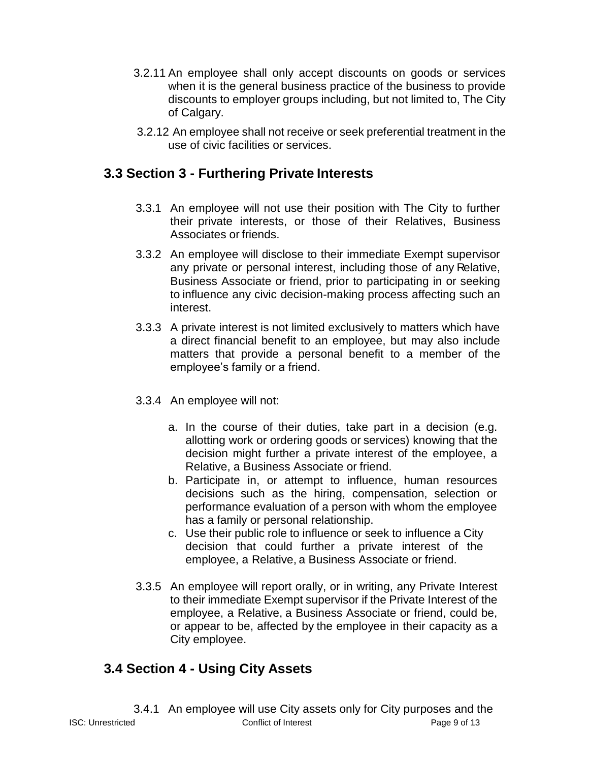- 3.2.11 An employee shall only accept discounts on goods or services when it is the general business practice of the business to provide discounts to employer groups including, but not limited to, The City of Calgary.
- 3.2.12 An employee shall not receive or seek preferential treatment in the use of civic facilities or services.

# **3.3 Section 3 - Furthering Private Interests**

- 3.3.1 An employee will not use their position with The City to further their private interests, or those of their Relatives, Business Associates or friends.
- 3.3.2 An employee will disclose to their immediate Exempt supervisor any private or personal interest, including those of any Relative, Business Associate or friend, prior to participating in or seeking to influence any civic decision-making process affecting such an interest.
- 3.3.3 A private interest is not limited exclusively to matters which have a direct financial benefit to an employee, but may also include matters that provide a personal benefit to a member of the employee's family or a friend.
- 3.3.4 An employee will not:
	- a. In the course of their duties, take part in a decision (e.g. allotting work or ordering goods or services) knowing that the decision might further a private interest of the employee, a Relative, a Business Associate or friend.
	- b. Participate in, or attempt to influence, human resources decisions such as the hiring, compensation, selection or performance evaluation of a person with whom the employee has a family or personal relationship.
	- c. Use their public role to influence or seek to influence a City decision that could further a private interest of the employee, a Relative, a Business Associate or friend.
- 3.3.5 An employee will report orally, or in writing, any Private Interest to their immediate Exempt supervisor if the Private Interest of the employee, a Relative, a Business Associate or friend, could be, or appear to be, affected by the employee in their capacity as a City employee.

# **3.4 Section 4 - Using City Assets**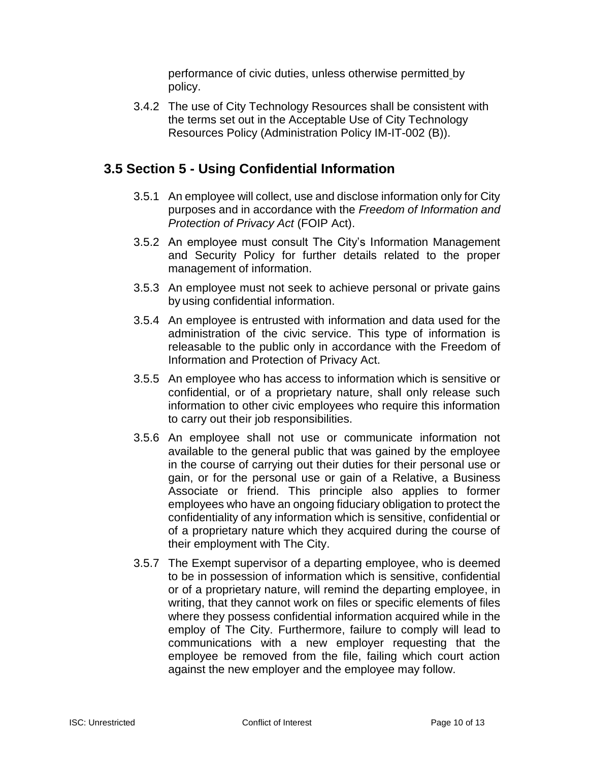performance of civic duties, unless otherwise permitted by policy.

3.4.2 The use of City Technology Resources shall be consistent with the terms set out in the Acceptable Use of City Technology Resources Policy (Administration Policy IM-IT-002 (B)).

# **3.5 Section 5 - Using Confidential Information**

- 3.5.1 An employee will collect, use and disclose information only for City purposes and in accordance with the *Freedom of Information and Protection of Privacy Act* (FOIP Act).
- 3.5.2 An employee must consult The City's Information Management and Security Policy for further details related to the proper management of information.
- 3.5.3 An employee must not seek to achieve personal or private gains by using confidential information.
- 3.5.4 An employee is entrusted with information and data used for the administration of the civic service. This type of information is releasable to the public only in accordance with the Freedom of Information and Protection of Privacy Act.
- 3.5.5 An employee who has access to information which is sensitive or confidential, or of a proprietary nature, shall only release such information to other civic employees who require this information to carry out their job responsibilities.
- 3.5.6 An employee shall not use or communicate information not available to the general public that was gained by the employee in the course of carrying out their duties for their personal use or gain, or for the personal use or gain of a Relative, a Business Associate or friend. This principle also applies to former employees who have an ongoing fiduciary obligation to protect the confidentiality of any information which is sensitive, confidential or of a proprietary nature which they acquired during the course of their employment with The City.
- 3.5.7 The Exempt supervisor of a departing employee, who is deemed to be in possession of information which is sensitive, confidential or of a proprietary nature, will remind the departing employee, in writing, that they cannot work on files or specific elements of files where they possess confidential information acquired while in the employ of The City. Furthermore, failure to comply will lead to communications with a new employer requesting that the employee be removed from the file, failing which court action against the new employer and the employee may follow.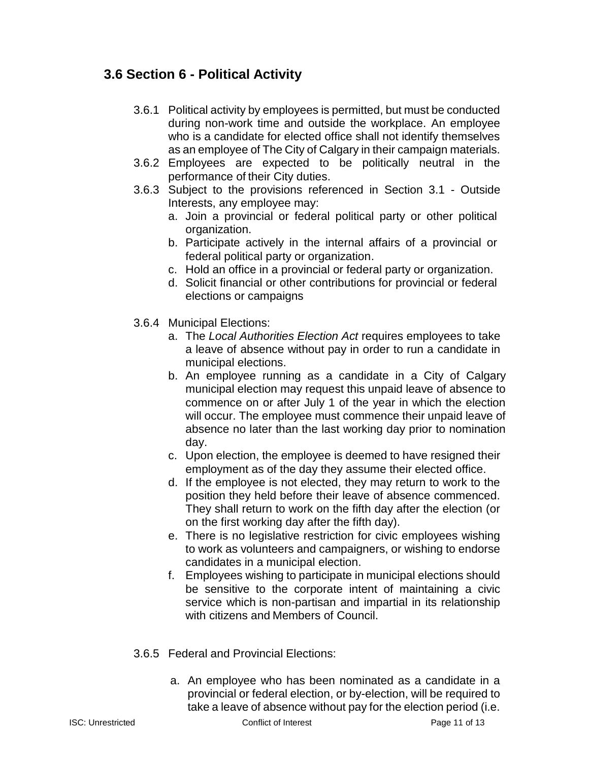# **3.6 Section 6 - Political Activity**

- 3.6.1 Political activity by employees is permitted, but must be conducted during non-work time and outside the workplace. An employee who is a candidate for elected office shall not identify themselves as an employee of The City of Calgary in their campaign materials.
- 3.6.2 Employees are expected to be politically neutral in the performance of their City duties.
- 3.6.3 Subject to the provisions referenced in Section 3.1 Outside Interests, any employee may:
	- a. Join a provincial or federal political party or other political organization.
	- b. Participate actively in the internal affairs of a provincial or federal political party or organization.
	- c. Hold an office in a provincial or federal party or organization.
	- d. Solicit financial or other contributions for provincial or federal elections or campaigns
- 3.6.4 Municipal Elections:
	- a. The *Local Authorities Election Act* requires employees to take a leave of absence without pay in order to run a candidate in municipal elections.
	- b. An employee running as a candidate in a City of Calgary municipal election may request this unpaid leave of absence to commence on or after July 1 of the year in which the election will occur. The employee must commence their unpaid leave of absence no later than the last working day prior to nomination day.
	- c. Upon election, the employee is deemed to have resigned their employment as of the day they assume their elected office.
	- d. If the employee is not elected, they may return to work to the position they held before their leave of absence commenced. They shall return to work on the fifth day after the election (or on the first working day after the fifth day).
	- e. There is no legislative restriction for civic employees wishing to work as volunteers and campaigners, or wishing to endorse candidates in a municipal election.
	- f. Employees wishing to participate in municipal elections should be sensitive to the corporate intent of maintaining a civic service which is non-partisan and impartial in its relationship with citizens and Members of Council.
- 3.6.5 Federal and Provincial Elections:
	- a. An employee who has been nominated as a candidate in a provincial or federal election, or by-election, will be required to take a leave of absence without pay for the election period (i.e.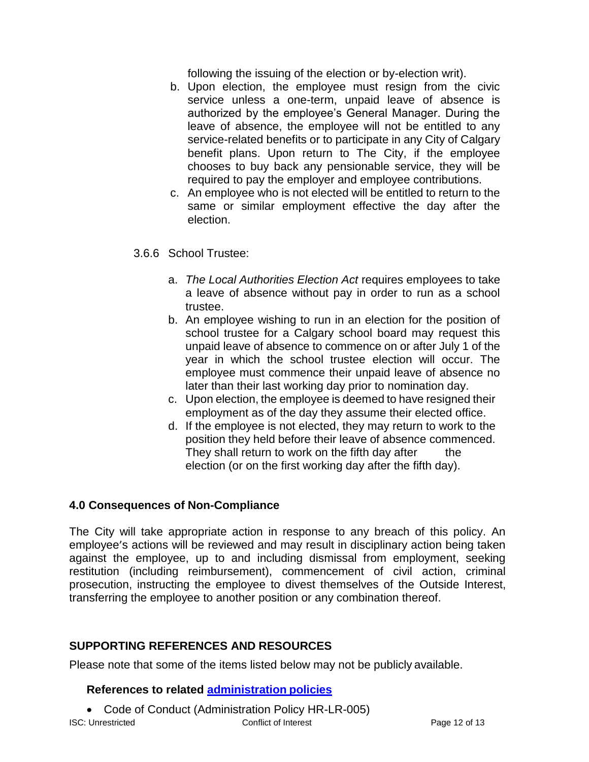following the issuing of the election or by-election writ).

- b. Upon election, the employee must resign from the civic service unless a one-term, unpaid leave of absence is authorized by the employee's General Manager. During the leave of absence, the employee will not be entitled to any service-related benefits or to participate in any City of Calgary benefit plans. Upon return to The City, if the employee chooses to buy back any pensionable service, they will be required to pay the employer and employee contributions.
- c. An employee who is not elected will be entitled to return to the same or similar employment effective the day after the election.

# 3.6.6 School Trustee:

- a. *The Local Authorities Election Act* requires employees to take a leave of absence without pay in order to run as a school trustee.
- b. An employee wishing to run in an election for the position of school trustee for a Calgary school board may request this unpaid leave of absence to commence on or after July 1 of the year in which the school trustee election will occur. The employee must commence their unpaid leave of absence no later than their last working day prior to nomination day.
- c. Upon election, the employee is deemed to have resigned their employment as of the day they assume their elected office.
- d. If the employee is not elected, they may return to work to the position they held before their leave of absence commenced. They shall return to work on the fifth day after the election (or on the first working day after the fifth day).

## **4.0 Consequences of Non-Compliance**

The City will take appropriate action in response to any breach of this policy. An employee's actions will be reviewed and may result in disciplinary action being taken against the employee, up to and including dismissal from employment, seeking restitution (including reimbursement), commencement of civil action, criminal prosecution, instructing the employee to divest themselves of the Outside Interest, transferring the employee to another position or any combination thereof.

## **SUPPORTING REFERENCES AND RESOURCES**

Please note that some of the items listed below may not be publicly available.

## **References to related [administration](http://mycity/OurOrg/Dept/CorporateAdmin/ManagerOffice/AdministrationPolicy/Pages/Administrationpolicylibrary.aspx) policies**

• Code of Conduct (Administration Policy HR-LR-005)